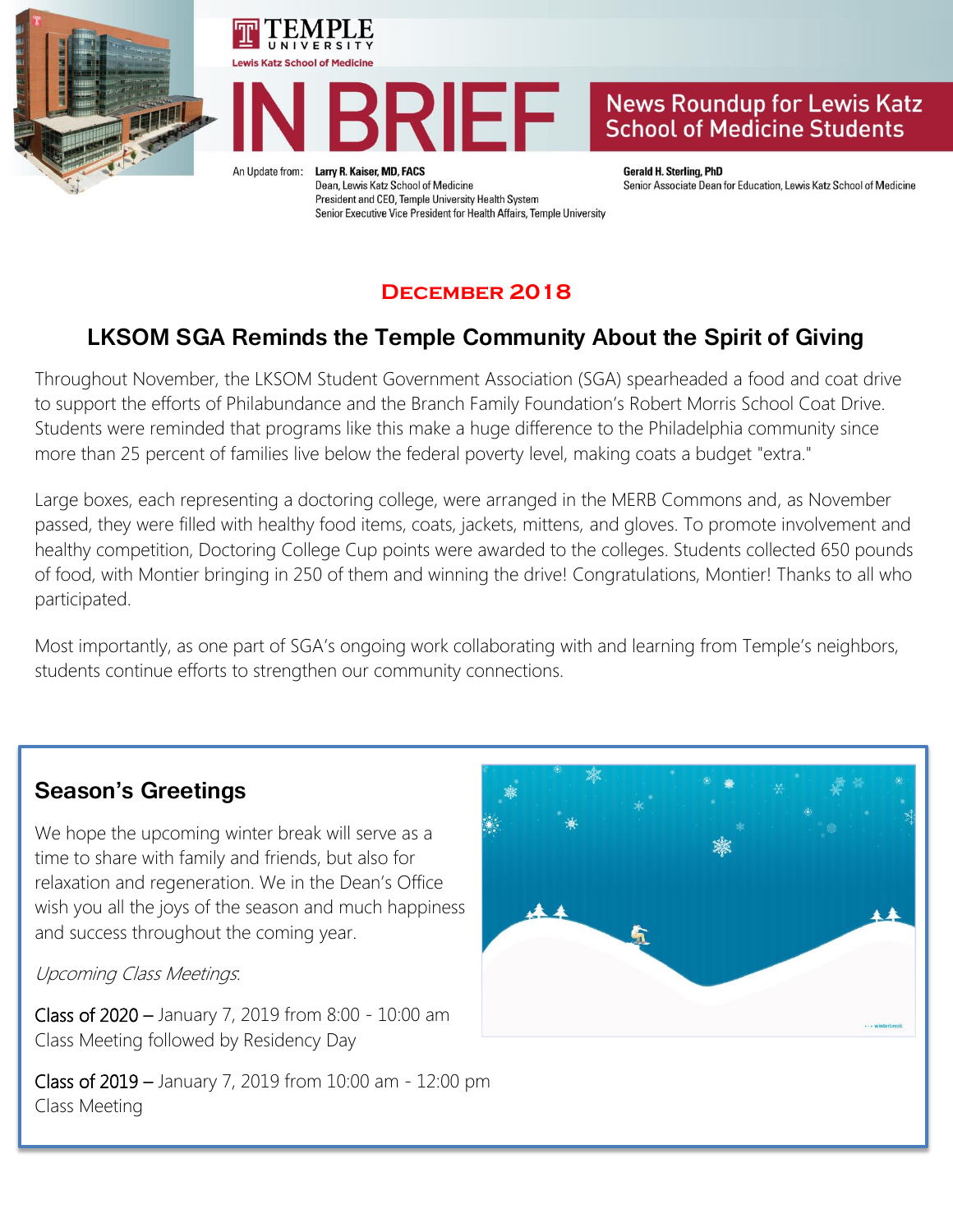





An Update from:

Larry R. Kaiser, MD, FACS Dean, Lewis Katz School of Medicine President and CEO, Temple University Health System Senior Executive Vice President for Health Affairs, Temple University **Gerald H. Sterling, PhD** Senior Associate Dean for Education, Lewis Katz School of Medicine

#### **December 2018**

# **LKSOM SGA Reminds the Temple Community About the Spirit of Giving**

Throughout November, the LKSOM Student Government Association (SGA) spearheaded a food and coat drive to support the efforts of Philabundance and the Branch Family Foundation's Robert Morris School Coat Drive. Students were reminded that programs like this make a huge difference to the Philadelphia community since more than 25 percent of families live below the federal poverty level, making coats a budget "extra."

Large boxes, each representing a doctoring college, were arranged in the MERB Commons and, as November passed, they were filled with healthy food items, coats, jackets, mittens, and gloves. To promote involvement and healthy competition, Doctoring College Cup points were awarded to the colleges. Students collected 650 pounds of food, with Montier bringing in 250 of them and winning the drive! Congratulations, Montier! Thanks to all who participated.

Most importantly, as one part of SGA's ongoing work collaborating with and learning from Temple's neighbors, students continue efforts to strengthen our community connections.

### **Season's Greetings**

We hope the upcoming winter break will serve as a time to share with family and friends, but also for relaxation and regeneration. We in the Dean's Office wish you all the joys of the season and much happiness and success throughout the coming year.

Upcoming Class Meetings:

Class of 2020 – January 7, 2019 from 8:00 - 10:00 am Class Meeting followed by Residency Day

Class of 2019 – January 7, 2019 from 10:00 am - 12:00 pm Class Meeting

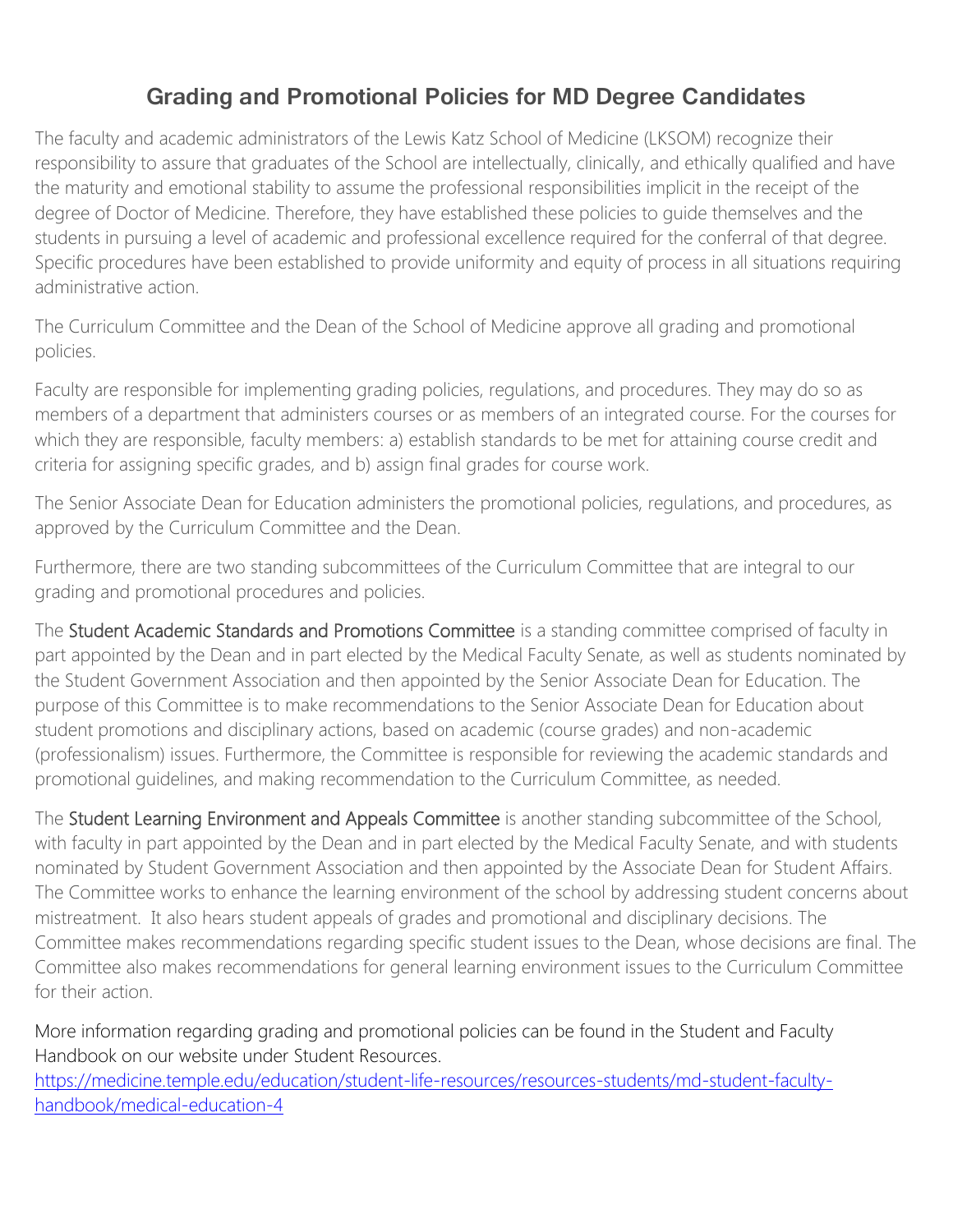## **Grading and Promotional Policies for MD Degree Candidates**

The faculty and academic administrators of the Lewis Katz School of Medicine (LKSOM) recognize their responsibility to assure that graduates of the School are intellectually, clinically, and ethically qualified and have the maturity and emotional stability to assume the professional responsibilities implicit in the receipt of the degree of Doctor of Medicine. Therefore, they have established these policies to guide themselves and the students in pursuing a level of academic and professional excellence required for the conferral of that degree. Specific procedures have been established to provide uniformity and equity of process in all situations requiring administrative action.

The Curriculum Committee and the Dean of the School of Medicine approve all grading and promotional policies.

Faculty are responsible for implementing grading policies, regulations, and procedures. They may do so as members of a department that administers courses or as members of an integrated course. For the courses for which they are responsible, faculty members: a) establish standards to be met for attaining course credit and criteria for assigning specific grades, and b) assign final grades for course work.

The Senior Associate Dean for Education administers the promotional policies, regulations, and procedures, as approved by the Curriculum Committee and the Dean.

Furthermore, there are two standing subcommittees of the Curriculum Committee that are integral to our grading and promotional procedures and policies.

The Student Academic Standards and Promotions Committee is a standing committee comprised of faculty in part appointed by the Dean and in part elected by the Medical Faculty Senate, as well as students nominated by the Student Government Association and then appointed by the Senior Associate Dean for Education. The purpose of this Committee is to make recommendations to the Senior Associate Dean for Education about student promotions and disciplinary actions, based on academic (course grades) and non-academic (professionalism) issues. Furthermore, the Committee is responsible for reviewing the academic standards and promotional guidelines, and making recommendation to the Curriculum Committee, as needed.

The Student Learning Environment and Appeals Committee is another standing subcommittee of the School, with faculty in part appointed by the Dean and in part elected by the Medical Faculty Senate, and with students nominated by Student Government Association and then appointed by the Associate Dean for Student Affairs. The Committee works to enhance the learning environment of the school by addressing student concerns about mistreatment. It also hears student appeals of grades and promotional and disciplinary decisions. The Committee makes recommendations regarding specific student issues to the Dean, whose decisions are final. The Committee also makes recommendations for general learning environment issues to the Curriculum Committee for their action.

More information regarding grading and promotional policies can be found in the Student and Faculty Handbook on our website under Student Resources.

[https://medicine.temple.edu/education/student-life-resources/resources-students/md-student-faculty](https://medicine.temple.edu/education/student-life-resources/resources-students/md-student-faculty-handbook/medical-education-4)[handbook/medical-education-4](https://medicine.temple.edu/education/student-life-resources/resources-students/md-student-faculty-handbook/medical-education-4)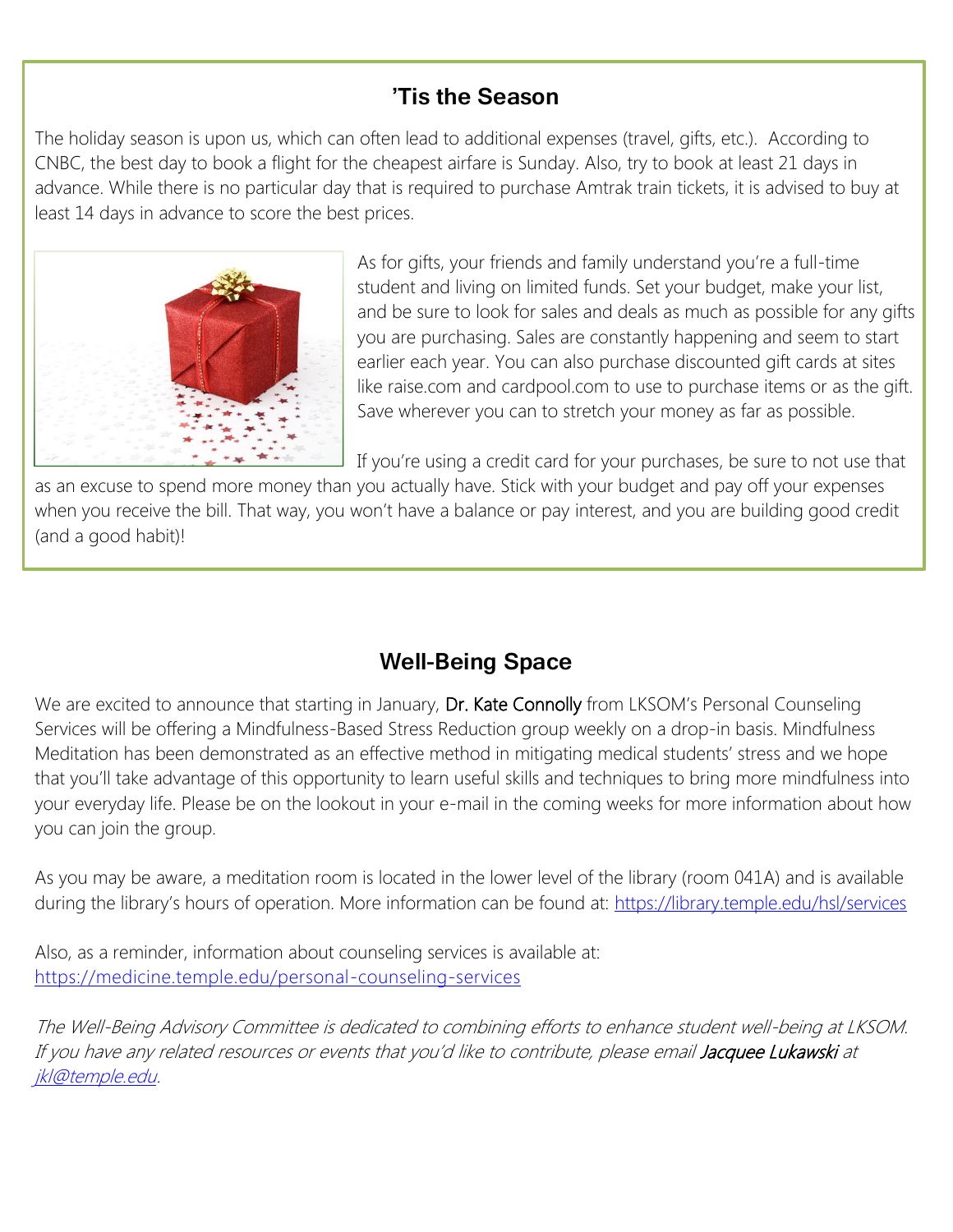# **'Tis the Season**

The holiday season is upon us, which can often lead to additional expenses (travel, gifts, etc.). According to CNBC, the best day to book a flight for the cheapest airfare is Sunday. Also, try to book at least 21 days in advance. While there is no particular day that is required to purchase Amtrak train tickets, it is advised to buy at least 14 days in advance to score the best prices.



As for gifts, your friends and family understand you're a full-time student and living on limited funds. Set your budget, make your list, and be sure to look for sales and deals as much as possible for any gifts you are purchasing. Sales are constantly happening and seem to start earlier each year. You can also purchase discounted gift cards at sites like raise.com and cardpool.com to use to purchase items or as the gift. Save wherever you can to stretch your money as far as possible.

If you're using a credit card for your purchases, be sure to not use that

as an excuse to spend more money than you actually have. Stick with your budget and pay off your expenses when you receive the bill. That way, you won't have a balance or pay interest, and you are building good credit (and a good habit)!

# **Well-Being Space**

We are excited to announce that starting in January, Dr. Kate Connolly from LKSOM's Personal Counseling Services will be offering a Mindfulness-Based Stress Reduction group weekly on a drop-in basis. Mindfulness Meditation has been demonstrated as an effective method in mitigating medical students' stress and we hope that you'll take advantage of this opportunity to learn useful skills and techniques to bring more mindfulness into your everyday life. Please be on the lookout in your e-mail in the coming weeks for more information about how you can join the group.

As you may be aware, a meditation room is located in the lower level of the library (room 041A) and is available during the library's hours of operation. More information can be found at: <https://library.temple.edu/hsl/services>

Also, as a reminder, information about counseling services is available at: <https://medicine.temple.edu/personal-counseling-services>

The Well-Being Advisory Committee is dedicated to combining efforts to enhance student well-being at LKSOM. If you have any related resources or events that you'd like to contribute, please email Jacquee Lukawski at [jkl@temple.edu.](mailto:jkl@temple.edu)